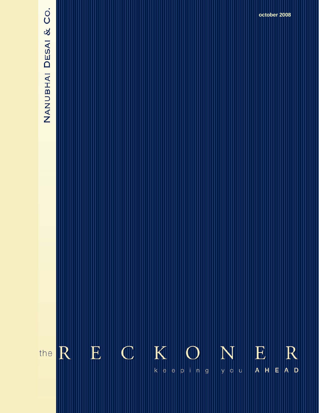# NANUBHAI DESAI & CO.

 $R$  $K$  $\mathbf{E}$  $\vert$  C E R N the  $k |e|$  $\vert$ E $\vert$ you  $A$   $H$ e ping

**The Reckoner….** *keeping you ahead* **August 2008**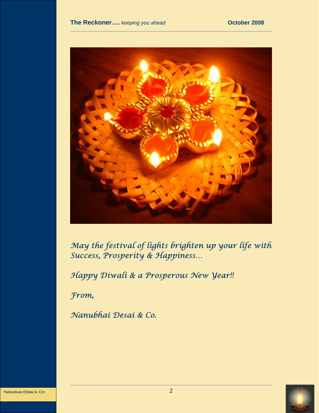

*May the festival of lights brighten up your life with Success, Prosperity & Happiness…* 

*Happy Diwali & a Prosperous New Year!!* 

*From,* 

*Nanubhai Desai & Co.*



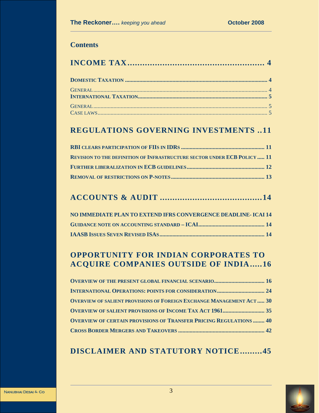# **Contents**

# **REGULATIONS GOVERNING INVESTMENTS ..11**

| <b>REVISION TO THE DEFINITION OF INFRASTRUCTURE SECTOR UNDER ECB POLICY  11</b> |  |
|---------------------------------------------------------------------------------|--|
|                                                                                 |  |
|                                                                                 |  |

# **ACCOUNTS & AUDIT .........................................14**

| NO IMMEDIATE PLAN TO EXTEND IFRS CONVERGENCE DEADLINE- ICAI 14 |  |
|----------------------------------------------------------------|--|
|                                                                |  |
|                                                                |  |

# **OPPORTUNITY FOR INDIAN CORPORATES TO ACQUIRE COMPANIES OUTSIDE OF INDIA.....16**

| <b>OVERVIEW OF THE PRESENT GLOBAL FINANCIAL SCENARIO 16</b>                 |  |
|-----------------------------------------------------------------------------|--|
| <b>INTERNATIONAL OPERATIONS: POINTS FOR CONSIDERATION 24</b>                |  |
| <b>OVERVIEW OF SALIENT PROVISIONS OF FOREIGN EXCHANGE MANAGEMENT ACT 30</b> |  |
|                                                                             |  |
| <b>OVERVIEW OF CERTAIN PROVISIONS OF TRANSFER PRICING REGULATIONS  40</b>   |  |
|                                                                             |  |

# **DISCLAIMER AND STATUTORY NOTICE.........45**

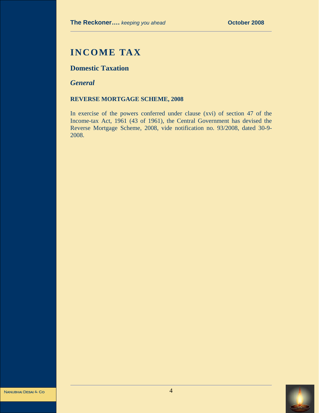# **INCOME TAX**

# **Domestic Taxation**

*General* 

#### **REVERSE MORTGAGE SCHEME, 2008**

In exercise of the powers conferred under clause (xvi) of section 47 of the Income-tax Act, 1961 (43 of 1961), the Central Government has devised the Reverse Mortgage Scheme, 2008, vide notification no. 93/2008, dated 30-9- 2008.

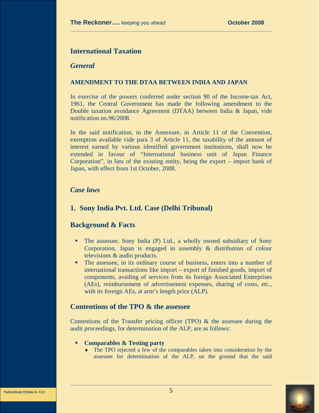#### **International Taxation**

#### *General*

#### **AMENDMENT TO THE DTAA BETWEEN INDIA AND JAPAN**

In exercise of the powers conferred under section 90 of the Income-tax Act, 1961, the Central Government has made the following amendment to the Double taxation avoidance Agreement (DTAA) between India & Japan, vide notification no.96/2008.

In the said notification, in the Annexure, in Article 11 of the Convention, exemption available vide para 3 of Article 11, the taxability of the amount of interest earned by various identified government institutions, shall now be extended in favour of "International business unit of Japan Finance Corporation", in lieu of the existing entity, being the export – import bank of Japan, with effect from 1st October, 2008.

#### *Case laws*

## **1. Sony India Pvt. Ltd. Case (Delhi Tribunal)**

#### **Background & Facts**

- The assessee, Sony India (P) Ltd., a wholly owned subsidiary of Sony Corporation, Japan is engaged in assembly & distribution of colour televisions & audio products.
- The assessee, in its ordinary course of business, enters into a number of international transactions like import – export of finished goods, import of components, availing of services from its foreign Associated Enterprises (AEs), reimbursement of advertisement expenses, sharing of costs, etc., with its foreign AEs, at arm's length price (ALP).

#### **Contentions of the TPO & the assessee**

Contentions of the Transfer pricing officer (TPO)  $\&$  the assessee during the audit proceedings, for determination of the ALP, are as follows:

- **Comparables & Testing party** 
	- ♦ The TPO rejected a few of the comparables taken into consideration by the assessee for determination of the ALP, on the ground that the said

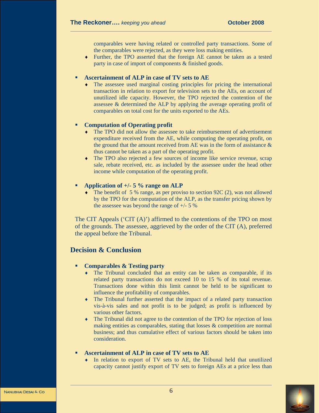comparables were having related or controlled party transactions. Some of the comparables were rejected, as they were loss making entities.

♦ Further, the TPO asserted that the foreign AE cannot be taken as a tested party in case of import of components & finished goods.

#### **Ascertainment of ALP in case of TV sets to AE**

♦ The assessee used marginal costing principles for pricing the international transaction in relation to export for television sets to the AEs, on account of unutilized idle capacity. However, the TPO rejected the contention of the assessee & determined the ALP by applying the average operating profit of comparables on total cost for the units exported to the AEs.

#### **Computation of Operating profit**

- ♦ The TPO did not allow the assessee to take reimbursement of advertisement expenditure received from the AE, while computing the operating profit, on the ground that the amount received from AE was in the form of assistance  $\&$ thus cannot be taken as a part of the operating profit.
- The TPO also rejected a few sources of income like service revenue, scrap sale, rebate received, etc. as included by the assessee under the head other income while computation of the operating profit.

#### **Application of +/- 5 % range on ALP**

 $\bullet$  The benefit of 5 % range, as per proviso to section 92C (2), was not allowed by the TPO for the computation of the ALP, as the transfer pricing shown by the assessee was beyond the range of  $+/- 5 \%$ 

The CIT Appeals ('CIT  $(A)$ ') affirmed to the contentions of the TPO on most of the grounds. The assessee, aggrieved by the order of the CIT (A), preferred the appeal before the Tribunal.

#### **Decision & Conclusion**

#### **Comparables & Testing party**

- ♦ The Tribunal concluded that an entity can be taken as comparable, if its related party transactions do not exceed 10 to 15 % of its total revenue. Transactions done within this limit cannot be held to be significant to influence the profitability of comparables.
- ♦ The Tribunal further asserted that the impact of a related party transaction vis-à-vis sales and not profit is to be judged; as profit is influenced by various other factors.
- ♦ The Tribunal did not agree to the contention of the TPO for rejection of loss making entities as comparables, stating that losses & competition are normal business; and thus cumulative effect of various factors should be taken into consideration.

#### **Ascertainment of ALP in case of TV sets to AE**

♦ In relation to export of TV sets to AE, the Tribunal held that unutilized capacity cannot justify export of TV sets to foreign AEs at a price less than

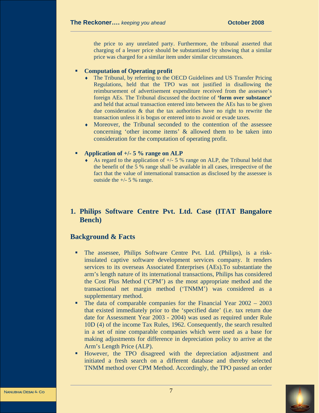the price to any unrelated party. Furthermore, the tribunal asserted that charging of a lesser price should be substantiated by showing that a similar price was charged for a similar item under similar circumstances.

#### **Computation of Operating profit**

- The Tribunal, by referring to the OECD Guidelines and US Transfer Pricing Regulations, held that the TPO was not justified in disallowing the reimbursement of advertisement expenditure received from the assessee's foreign AEs. The Tribunal discussed the doctrine of **'form over substance'** and held that actual transaction entered into between the AEs has to be given due consideration & that the tax authorities have no right to rewrite the transaction unless it is bogus or entered into to avoid or evade taxes.
- $\bullet$  Moreover, the Tribunal seconded to the contention of the assessee concerning 'other income items' & allowed them to be taken into consideration for the computation of operating profit.

#### **Application of +/- 5 % range on ALP**

As regard to the application of  $+/- 5$  % range on ALP, the Tribunal held that the benefit of the 5 % range shall be available in all cases, irrespective of the fact that the value of international transaction as disclosed by the assessee is outside the  $+/- 5$  % range.

# **1. Philips Software Centre Pvt. Ltd. Case (ITAT Bangalore Bench)**

#### **Background & Facts**

- The assessee, Philips Software Centre Pvt. Ltd. (Philips), is a riskinsulated captive software development services company. It renders services to its overseas Associated Enterprises (AEs).To substantiate the arm's length nature of its international transactions, Philips has considered the Cost Plus Method ('CPM') as the most appropriate method and the transactional net margin method ('TNMM') was considered as a supplementary method.
- The data of comparable companies for the Financial Year 2002 2003 that existed immediately prior to the 'specified date' (i.e. tax return due date for Assessment Year 2003 - 2004) was used as required under Rule 10D (4) of the income Tax Rules, 1962. Consequently, the search resulted in a set of nine comparable companies which were used as a base for making adjustments for difference in depreciation policy to arrive at the Arm's Length Price (ALP).
- However, the TPO disagreed with the depreciation adjustment and initiated a fresh search on a different database and thereby selected TNMM method over CPM Method. Accordingly, the TPO passed an order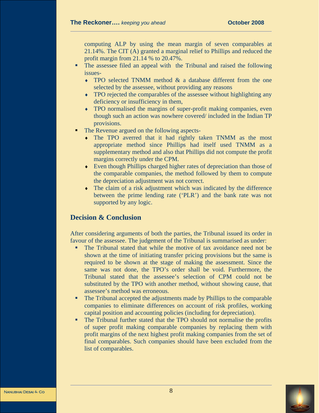computing ALP by using the mean margin of seven comparables at 21.14%. The CIT (A) granted a marginal relief to Phillips and reduced the profit margin from 21.14 % to 20.47%.

- The assessee filed an appeal with the Tribunal and raised the following issues-
	- ♦ TPO selected TNMM method & a database different from the one selected by the assessee, without providing any reasons
	- ♦ TPO rejected the comparables of the assessee without highlighting any deficiency or insufficiency in them,
	- ♦ TPO normalised the margins of super-profit making companies, even though such an action was nowhere covered/ included in the Indian TP provisions.
- The Revenue argued on the following aspects-
	- ♦ The TPO averred that it had rightly taken TNMM as the most appropriate method since Phillips had itself used TNMM as a supplementary method and also that Phillips did not compute the profit margins correctly under the CPM.
	- ♦ Even though Phillips charged higher rates of depreciation than those of the comparable companies, the method followed by them to compute the depreciation adjustment was not correct.
	- ♦ The claim of a risk adjustment which was indicated by the difference between the prime lending rate ('PLR') and the bank rate was not supported by any logic.

#### **Decision & Conclusion**

After considering arguments of both the parties, the Tribunal issued its order in favour of the assessee. The judgement of the Tribunal is summarised as under:

- The Tribunal stated that while the motive of tax avoidance need not be shown at the time of initiating transfer pricing provisions but the same is required to be shown at the stage of making the assessment. Since the same was not done, the TPO's order shall be void. Furthermore, the Tribunal stated that the assessee's selection of CPM could not be substituted by the TPO with another method, without showing cause, that assessee's method was erroneous.
- The Tribunal accepted the adjustments made by Phillips to the comparable companies to eliminate differences on account of risk profiles, working capital position and accounting policies (including for depreciation).
- The Tribunal further stated that the TPO should not normalise the profits of super profit making comparable companies by replacing them with profit margins of the next highest profit making companies from the set of final comparables. Such companies should have been excluded from the list of comparables.

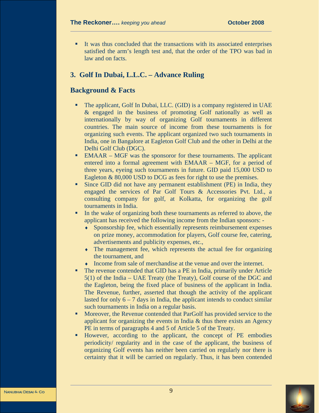It was thus concluded that the transactions with its associated enterprises satisfied the arm's length test and, that the order of the TPO was bad in law and on facts.

#### **3. Golf In Dubai, L.L.C. – Advance Ruling**

#### **Background & Facts**

- The applicant, Golf In Dubai, LLC. (GID) is a company registered in UAE & engaged in the business of promoting Golf nationally as well as internationally by way of organizing Golf tournaments in different countries. The main source of income from these tournaments is for organizing such events. The applicant organized two such tournaments in India, one in Bangalore at Eagleton Golf Club and the other in Delhi at the Delhi Golf Club (DGC).
- EMAAR MGF was the sponsoror for these tournaments. The applicant entered into a formal agreement with EMAAR – MGF, for a period of three years, eyeing such tournaments in future. GID paid 15,000 USD to Eagleton & 80,000 USD to DCG as fees for right to use the premises.
- Since GID did not have any permanent establishment (PE) in India, they engaged the services of Par Golf Tours & Accessories Pvt. Ltd., a consulting company for golf, at Kolkatta, for organizing the golf tournaments in India.
- In the wake of organizing both these tournaments as referred to above, the applicant has received the following income from the Indian sponsors: -
	- ♦ Sponsorship fee, which essentially represents reimbursement expenses on prize money, accommodation for players, Golf course fee, catering, advertisements and publicity expenses, etc.,
	- The management fee, which represents the actual fee for organizing the tournament, and
	- ♦ Income from sale of merchandise at the venue and over the internet.
- The revenue contended that GID has a PE in India, primarily under Article 5(1) of the India – UAE Treaty (the Treaty), Golf course of the DGC and the Eagleton, being the fixed place of business of the applicant in India. The Revenue, further, asserted that though the activity of the applicant lasted for only  $6 - 7$  days in India, the applicant intends to conduct similar such tournaments in India on a regular basis.
- **Moreover, the Revenue contended that ParGolf has provided service to the** applicant for organizing the events in India  $\&$  thus there exists an Agency PE in terms of paragraphs 4 and 5 of Article 5 of the Treaty.
- However, according to the applicant, the concept of PE embodies periodicity/ regularity and in the case of the applicant, the business of organizing Golf events has neither been carried on regularly nor there is certainty that it will be carried on regularly. Thus, it has been contended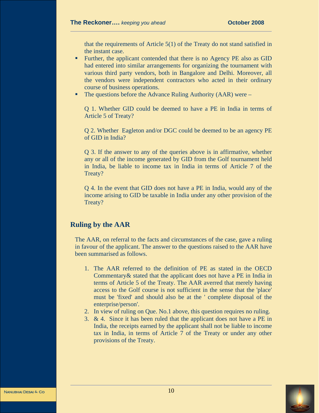that the requirements of Article 5(1) of the Treaty do not stand satisfied in the instant case.

- Further, the applicant contended that there is no Agency PE also as GID had entered into similar arrangements for organizing the tournament with various third party vendors, both in Bangalore and Delhi. Moreover, all the vendors were independent contractors who acted in their ordinary course of business operations.
- The questions before the Advance Ruling Authority (AAR) were –

Q 1. Whether GID could be deemed to have a PE in India in terms of Article 5 of Treaty?

Q 2. Whether Eagleton and/or DGC could be deemed to be an agency PE of GID in India?

Q 3. If the answer to any of the queries above is in affirmative, whether any or all of the income generated by GID from the Golf tournament held in India, be liable to income tax in India in terms of Article 7 of the Treaty?

Q 4. In the event that GID does not have a PE in India, would any of the income arising to GID be taxable in India under any other provision of the Treaty?

## **Ruling by the AAR**

The AAR, on referral to the facts and circumstances of the case, gave a ruling in favour of the applicant. The answer to the questions raised to the AAR have been summarised as follows.

- 1. The AAR referred to the definition of PE as stated in the OECD Commentary& stated that the applicant does not have a PE in India in terms of Article 5 of the Treaty. The AAR averred that merely having access to the Golf course is not sufficient in the sense that the 'place' must be 'fixed' and should also be at the ' complete disposal of the enterprise/person'.
- 2. In view of ruling on Que. No.1 above, this question requires no ruling.
- 3. & 4. Since it has been ruled that the applicant does not have a PE in India, the receipts earned by the applicant shall not be liable to income tax in India, in terms of Article 7 of the Treaty or under any other provisions of the Treaty.

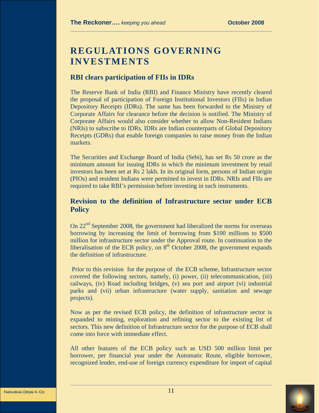# **REGULATIONS GOVERNING INVESTMENTS**

#### **RBI clears participation of FIIs in IDRs**

The Reserve Bank of India (RBI) and Finance Ministry have recently cleared the proposal of participation of Foreign Institutional Investors (FIIs) in Indian Depository Receipts (IDRs). The same has been forwarded to the Ministry of Corporate Affairs for clearance before the decision is notified. The Ministry of Corporate Affairs would also consider whether to allow Non-Resident Indians (NRIs) to subscribe to IDRs. IDRs are Indian counterparts of Global Depository Receipts (GDRs) that enable foreign companies to raise money from the Indian markets.

The Securities and Exchange Board of India (Sebi), has set Rs 50 crore as the minimum amount for issuing IDRs in which the minimum investment by retail investors has been set at Rs 2 lakh. In its original form, persons of Indian origin (PIOs) and resident Indians were permitted to invest in IDRs. NRIs and FIIs are required to take RBI's permission before investing in such instruments.

# **Revision to the definition of Infrastructure sector under ECB Policy**

On 22<sup>nd</sup> September 2008, the government had liberalized the norms for overseas borrowing by increasing the limit of borrowing from \$100 millions to \$500 million for infrastructure sector under the Approval route. In continuation to the liberalisation of the ECB policy, on  $8<sup>th</sup>$  October 2008, the government expands the definition of infrastructure.

 Prior to this revision for the purpose of the ECB scheme, Infrastructure sector covered the following sectors, namely, (i) power, (ii) telecommunication, (iii) railways, (iv) Road including bridges, (v) sea port and airport (vi) industrial parks and (vii) urban infrastructure (water supply, sanitation and sewage projects).

Now as per the revised ECB policy, the definition of infrastructure sector is expanded to mining, exploration and refining sector to the existing list of sectors. This new definition of Infrastructure sector for the purpose of ECB shall come into force with immediate effect.

All other features of the ECB policy such as USD 500 million limit per borrower, per financial year under the Automatic Route, eligible borrower, recognized lender, end-use of foreign currency expenditure for import of capital

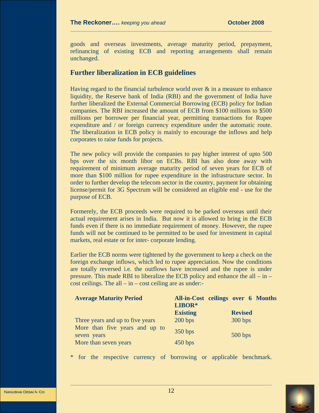goods and overseas investments, average maturity period, prepayment, refinancing of existing ECB and reporting arrangements shall remain unchanged.

# **Further liberalization in ECB guidelines**

Having regard to the financial turbulence world over & in a measure to enhance liquidity, the Reserve bank of India (RBI) and the government of India have further liberalized the External Commercial Borrowing (ECB) policy for Indian companies. The RBI increased the amount of ECB from \$100 millions to \$500 millions per borrower per financial year, permitting transactions for Rupee expenditure and / or foreign currency expenditure under the automatic route. The liberalization in ECB policy is mainly to encourage the inflows and help corporates to raise funds for projects.

The new policy will provide the companies to pay higher interest of upto 500 bps over the six month libor on ECBs. RBI has also done away with requirement of minimum average maturity period of seven years for ECB of more than \$100 million for rupee expenditure in the infrastructure sector. In order to further develop the telecom sector in the country, payment for obtaining license/permit for 3G Spectrum will be considered an eligible end - use for the purpose of ECB.

Formerely, the ECB proceeds were required to be parked overseas until their actual requirement arises in India. But now it is allowed to bring in the ECB funds even if there is no immediate requirement of money. However, the rupee funds will not be continued to be permitted to be used for investment in capital markets, real estate or for inter- corporate lending.

Earlier the ECB norms were tightened by the government to keep a check on the foreign exchange inflows, which led to rupee appreciation. Now the conditions are totally reversed i.e. the outflows have increased and the rupee is under pressure. This made RBI to liberalize the ECB policy and enhance the all – in – cost ceilings. The all  $-$  in  $-$  cost ceiling are as under:-

| <b>Average Maturity Period</b>                | All-in-Cost ceilings over 6 Months<br>LIBOR* |                |
|-----------------------------------------------|----------------------------------------------|----------------|
|                                               | <b>Existing</b>                              | <b>Revised</b> |
| Three years and up to five years              | 200 bps                                      | 300 bps        |
| More than five years and up to<br>seven years | 350 bps                                      | 500 bps        |
| More than seven years                         | 450 bps                                      |                |

for the respective currency of borrowing or applicable benchmark.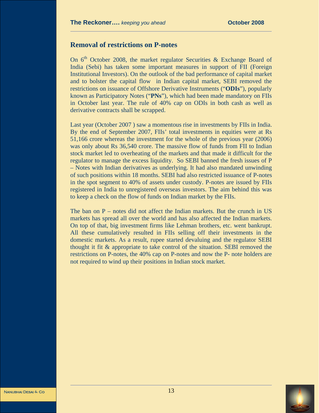#### **Removal of restrictions on P-notes**

On  $6<sup>th</sup>$  October 2008, the market regulator Securities & Exchange Board of India (Sebi) has taken some important measures in support of FII (Foreign Institutional Investors). On the outlook of the bad performance of capital market and to bolster the capital flow in Indian capital market, SEBI removed the restrictions on issuance of Offshore Derivative Instruments ("**ODIs**"), popularly known as Participatory Notes ("**PNs**"), which had been made mandatory on FIIs in October last year. The rule of 40% cap on ODIs in both cash as well as derivative contracts shall be scrapped.

Last year (October 2007 ) saw a momentous rise in investments by FIIs in India. By the end of September 2007, FIIs' total investments in equities were at Rs 51,166 crore whereas the investment for the whole of the previous year (2006) was only about Rs 36,540 crore. The massive flow of funds from FII to Indian stock market led to overheating of the markets and that made it difficult for the regulator to manage the excess liquidity. So SEBI banned the fresh issues of P – Notes with Indian derivatives as underlying. It had also mandated unwinding of such positions within 18 months. SEBI had also restricted issuance of P-notes in the spot segment to 40% of assets under custody. P-notes are issued by FIIs registered in India to unregistered overseas investors. The aim behind this was to keep a check on the flow of funds on Indian market by the FIIs.

The ban on  $P$  – notes did not affect the Indian markets. But the crunch in US markets has spread all over the world and has also affected the Indian markets. On top of that, big investment firms like Lehman brothers, etc. went bankrupt. All these cumulatively resulted in FIIs selling off their investments in the domestic markets. As a result, rupee started devaluing and the regulator SEBI thought it fit & appropriate to take control of the situation. SEBI removed the restrictions on P-notes, the 40% cap on P-notes and now the P- note holders are not required to wind up their positions in Indian stock market.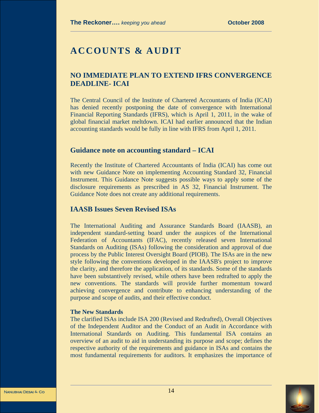# **ACCOUNTS & AUDIT**

# **NO IMMEDIATE PLAN TO EXTEND IFRS CONVERGENCE DEADLINE- ICAI**

The Central Council of the Institute of Chartered Accountants of India (ICAI) has denied recently postponing the date of convergence with International Financial Reporting Standards (IFRS), which is April 1, 2011, in the wake of global financial market meltdown. ICAI had earlier announced that the Indian accounting standards would be fully in line with IFRS from April 1, 2011.

#### **Guidance note on accounting standard – ICAI**

Recently the Institute of Chartered Accountants of India (ICAI) has come out with new Guidance Note on implementing Accounting Standard 32, Financial Instrument. This Guidance Note suggests possible ways to apply some of the disclosure requirements as prescribed in AS 32, Financial Instrument. The Guidance Note does not create any additional requirements.

## **IAASB Issues Seven Revised ISAs**

The International Auditing and Assurance Standards Board (IAASB), an independent standard-setting board under the auspices of the International Federation of Accountants (IFAC), recently released seven International Standards on Auditing (ISAs) following the consideration and approval of due process by the Public Interest Oversight Board (PIOB). The ISAs are in the new style following the conventions developed in the IAASB's project to improve the clarity, and therefore the application, of its standards. Some of the standards have been substantively revised, while others have been redrafted to apply the new conventions. The standards will provide further momentum toward achieving convergence and contribute to enhancing understanding of the purpose and scope of audits, and their effective conduct.

#### **The New Standards**

The clarified ISAs include ISA 200 (Revised and Redrafted), Overall Objectives of the Independent Auditor and the Conduct of an Audit in Accordance with International Standards on Auditing. This fundamental ISA contains an overview of an audit to aid in understanding its purpose and scope; defines the respective authority of the requirements and guidance in ISAs and contains the most fundamental requirements for auditors. It emphasizes the importance of

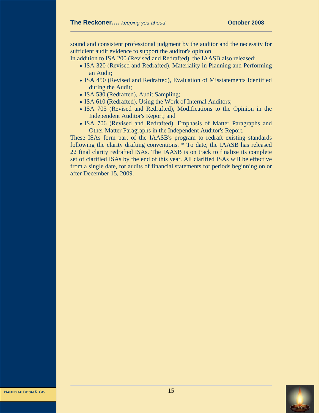sound and consistent professional judgment by the auditor and the necessity for sufficient audit evidence to support the auditor's opinion.

In addition to ISA 200 (Revised and Redrafted), the IAASB also released:

- ISA 320 (Revised and Redrafted), Materiality in Planning and Performing an Audit;
- ISA 450 (Revised and Redrafted), Evaluation of Misstatements Identified during the Audit;
- ISA 530 (Redrafted), Audit Sampling;
- ISA 610 (Redrafted), Using the Work of Internal Auditors;
- ISA 705 (Revised and Redrafted), Modifications to the Opinion in the Independent Auditor's Report; and
- ISA 706 (Revised and Redrafted), Emphasis of Matter Paragraphs and Other Matter Paragraphs in the Independent Auditor's Report.

These ISAs form part of the IAASB's program to redraft existing standards following the clarity drafting conventions. \* To date, the IAASB has released 22 final clarity redrafted ISAs. The IAASB is on track to finalize its complete set of clarified ISAs by the end of this year. All clarified ISAs will be effective from a single date, for audits of financial statements for periods beginning on or after December 15, 2009.

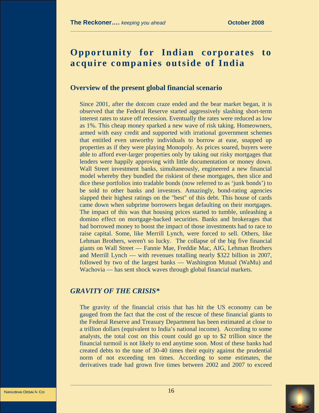# **Opportunity for Indian corporates to acquire companies outside of India**

#### **Overview of the present global financial scenario**

Since 2001, after the dotcom craze ended and the bear market began, it is observed that the Federal Reserve started aggressively slashing short-term interest rates to stave off recession. Eventually the rates were reduced as low as 1%. This cheap money sparked a new wave of risk taking. Homeowners, armed with easy credit and supported with irrational government schemes that entitled even unworthy individuals to borrow at ease, snapped up properties as if they were playing Monopoly. As prices soared, buyers were able to afford ever-larger properties only by taking out risky mortgages that lenders were happily approving with little documentation or money down. Wall Street investment banks, simultaneously, engineered a new financial model whereby they bundled the riskiest of these mortgages, then slice and dice these portfolios into tradable bonds (now referred to as 'junk bonds') to be sold to other banks and investors. Amazingly, bond-rating agencies slapped their highest ratings on the "best" of this debt. This house of cards came down when subprime borrowers began defaulting on their mortgages. The impact of this was that housing prices started to tumble, unleashing a domino effect on mortgage-backed securities. Banks and brokerages that had borrowed money to boost the impact of those investments had to race to raise capital. Some, like Merrill Lynch, were forced to sell. Others, like Lehman Brothers, weren't so lucky. The collapse of the big five financial giants on Wall Street — Fannie Mae, Freddie Mac, AIG, Lehman Brothers and Merrill Lynch — with revenues totalling nearly \$322 billion in 2007, followed by two of the largest banks — Washington Mutual (WaMu) and Wachovia — has sent shock waves through global financial markets.

# *GRAVITY OF THE CRISIS\**

The gravity of the financial crisis that has hit the US economy can be gauged from the fact that the cost of the rescue of these financial giants to the Federal Reserve and Treasury Department has been estimated at close to a trillion dollars (equivalent to India's national income). According to some analysts, the total cost on this count could go up to \$2 trillion since the financial turmoil is not likely to end anytime soon. Most of these banks had created debts to the tune of 30-40 times their equity against the prudential norm of not exceeding ten times. According to some estimates, the derivatives trade had grown five times between 2002 and 2007 to exceed

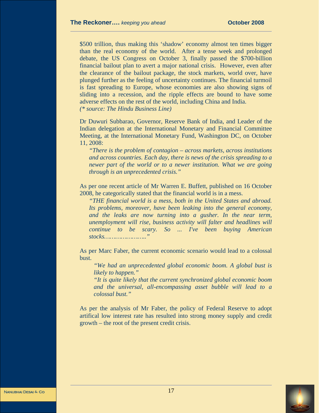\$500 trillion, thus making this 'shadow' economy almost ten times bigger than the real economy of the world. After a tense week and prolonged debate, the US Congress on October 3, finally passed the \$700-billion financial bailout plan to avert a major national crisis. However, even after the clearance of the bailout package, the stock markets, world over, have plunged further as the feeling of uncertainty continues. The financial turmoil is fast spreading to Europe, whose economies are also showing signs of sliding into a recession, and the ripple effects are bound to have some adverse effects on the rest of the world, including China and India. *(\* source: The Hindu Business Line)* 

Dr Duwuri Subbarao, Governor, Reserve Bank of India, and Leader of the Indian delegation at the International Monetary and Financial Committee Meeting, at the International Monetary Fund, Washington DC, on October 11, 2008:

*"There is the problem of contagion – across markets, across institutions and across countries. Each day, there is news of the crisis spreading to a newer part of the world or to a newer institution. What we are going through is an unprecedented crisis."* 

As per one recent article of Mr Warren E. Buffett, published on 16 October 2008, he categorically stated that the financial world is in a mess.

*"THE financial world is a mess, both in the United States and abroad. Its problems, moreover, have been leaking into the general economy, and the leaks are now turning into a gusher. In the near term, unemployment will rise, business activity will falter and headlines will continue to be scary. So ... I've been buying American stocks………………….."* 

As per Marc Faber, the current economic scenario would lead to a colossal bust.

*"We had an unprecedented global economic boom. A global bust is likely to happen."* 

*"It is quite likely that the current synchronized global economic boom and the universal, all-encompassing asset bubble will lead to a colossal bust."* 

As per the analysis of Mr Faber, the policy of Federal Reserve to adopt artifical low interest rate has resulted into strong money supply and credit growth – the root of the present credit crisis.





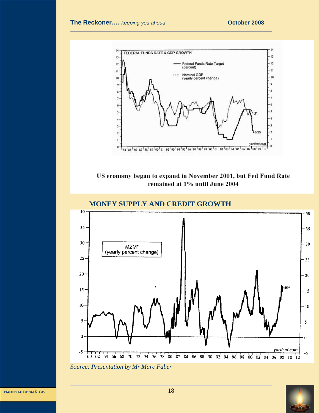

# US economy began to expand in November 2001, but Fed Fund Rate remained at 1% until June 2004



*Source: Presentation by Mr Marc Faber* 

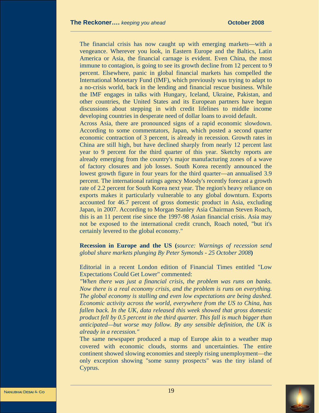The financial crisis has now caught up with emerging markets—with a vengeance. Wherever you look, in Eastern Europe and the Baltics, Latin America or Asia, the financial carnage is evident. Even China, the most immune to contagion, is going to see its growth decline from 12 percent to 9 percent. Elsewhere, panic in global financial markets has compelled the International Monetary Fund (IMF), which previously was trying to adapt to a no-crisis world, back in the lending and financial rescue business. While the IMF engages in talks with Hungary, Iceland, Ukraine, Pakistan, and other countries, the United States and its European partners have begun discussions about stepping in with credit lifelines to middle income developing countries in desperate need of dollar loans to avoid default.

Across Asia, there are pronounced signs of a rapid economic slowdown. According to some commentators, Japan, which posted a second quarter economic contraction of 3 percent, is already in recession. Growth rates in China are still high, but have declined sharply from nearly 12 percent last year to 9 percent for the third quarter of this year. Sketchy reports are already emerging from the country's major manufacturing zones of a wave of factory closures and job losses. South Korea recently announced the lowest growth figure in four years for the third quarter—an annualised 3.9 percent. The international ratings agency Moody's recently forecast a growth rate of 2.2 percent for South Korea next year. The region's heavy reliance on exports makes it particularly vulnerable to any global downturn. Exports accounted for 46.7 percent of gross domestic product in Asia, excluding Japan, in 2007. According to Morgan Stanley Asia Chairman Steven Roach, this is an 11 percent rise since the 1997-98 Asian financial crisis. Asia may not be exposed to the international credit crunch, Roach noted, "but it's certainly levered to the global economy."

**Recession in Europe and the US (***source: Warnings of recession send global share markets plunging By Peter Symonds - 25 October 2008***)** 

Editorial in a recent London edition of Financial Times entitled "Low Expectations Could Get Lower" commented:

*"When there was just a financial crisis, the problem was runs on banks. Now there is a real economy crisis, and the problem is runs on everything. The global economy is stalling and even low expectations are being dashed. Economic activity across the world, everywhere from the US to China, has fallen back. In the UK, data released this week showed that gross domestic product fell by 0.5 percent in the third quarter. This fall is much bigger than anticipated—but worse may follow. By any sensible definition, the UK is already in a recession."* 

The same newspaper produced a map of Europe akin to a weather map covered with economic clouds, storms and uncertainties. The entire continent showed slowing economies and steeply rising unemployment—the only exception showing "some sunny prospects" was the tiny island of Cyprus.

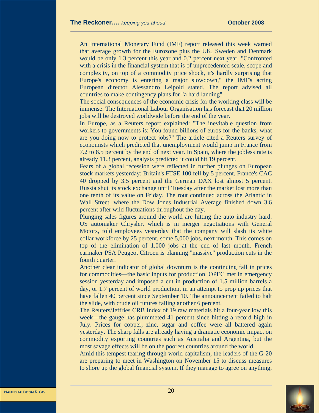An International Monetary Fund (IMF) report released this week warned that average growth for the Eurozone plus the UK, Sweden and Denmark would be only 1.3 percent this year and 0.2 percent next year. "Confronted with a crisis in the financial system that is of unprecedented scale, scope and complexity, on top of a commodity price shock, it's hardly surprising that Europe's economy is entering a major slowdown," the IMF's acting European director Alessandro Leipold stated. The report advised all countries to make contingency plans for "a hard landing".

The social consequences of the economic crisis for the working class will be immense. The International Labour Organisation has forecast that 20 million jobs will be destroyed worldwide before the end of the year.

In Europe, as a Reuters report explained: "The inevitable question from workers to governments is: You found billions of euros for the banks, what are you doing now to protect jobs?" The article cited a Reuters survey of economists which predicted that unemployment would jump in France from 7.2 to 8.5 percent by the end of next year. In Spain, where the jobless rate is already 11.3 percent, analysts predicted it could hit 19 percent.

Fears of a global recession were reflected in further plunges on European stock markets yesterday: Britain's FTSE 100 fell by 5 percent, France's CAC 40 dropped by 3.5 percent and the German DAX lost almost 5 percent. Russia shut its stock exchange until Tuesday after the market lost more than one tenth of its value on Friday. The rout continued across the Atlantic in Wall Street, where the Dow Jones Industrial Average finished down 3.6 percent after wild fluctuations throughout the day.

Plunging sales figures around the world are hitting the auto industry hard. US automaker Chrysler, which is in merger negotiations with General Motors, told employees yesterday that the company will slash its white collar workforce by 25 percent, some 5,000 jobs, next month. This comes on top of the elimination of 1,000 jobs at the end of last month. French carmaker PSA Peugeot Citroen is planning "massive" production cuts in the fourth quarter.

Another clear indicator of global downturn is the continuing fall in prices for commodities—the basic inputs for production. OPEC met in emergency session yesterday and imposed a cut in production of 1.5 million barrels a day, or 1.7 percent of world production, in an attempt to prop up prices that have fallen 40 percent since September 10. The announcement failed to halt the slide, with crude oil futures falling another 6 percent.

The Reuters/Jeffries CRB Index of 19 raw materials hit a four-year low this week—the gauge has plummeted 41 percent since hitting a record high in July. Prices for copper, zinc, sugar and coffee were all battered again yesterday. The sharp falls are already having a dramatic economic impact on commodity exporting countries such as Australia and Argentina, but the most savage effects will be on the poorest countries around the world.

Amid this tempest tearing through world capitalism, the leaders of the G-20 are preparing to meet in Washington on November 15 to discuss measures to shore up the global financial system. If they manage to agree on anything,



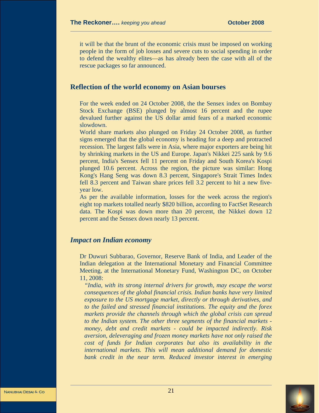it will be that the brunt of the economic crisis must be imposed on working people in the form of job losses and severe cuts to social spending in order to defend the wealthy elites—as has already been the case with all of the rescue packages so far announced.

#### **Reflection of the world economy on Asian bourses**

For the week ended on 24 October 2008, the the Sensex index on Bombay Stock Exchange (BSE) plunged by almost 16 percent and the rupee devalued further against the US dollar amid fears of a marked economic slowdown.

World share markets also plunged on Friday 24 October 2008, as further signs emerged that the global economy is heading for a deep and protracted recession. The largest falls were in Asia, where major exporters are being hit by shrinking markets in the US and Europe. Japan's Nikkei 225 sank by 9.6 percent, India's Sensex fell 11 percent on Friday and South Korea's Kospi plunged 10.6 percent. Across the region, the picture was similar: Hong Kong's Hang Seng was down 8.3 percent, Singapore's Strait Times Index fell 8.3 percent and Taiwan share prices fell 3.2 percent to hit a new fiveyear low.

As per the available information, losses for the week across the region's eight top markets totalled nearly \$820 billion, according to FactSet Research data. The Kospi was down more than 20 percent, the Nikkei down 12 percent and the Sensex down nearly 13 percent.

#### *Impact on Indian economy*

Dr Duwuri Subbarao, Governor, Reserve Bank of India, and Leader of the Indian delegation at the International Monetary and Financial Committee Meeting, at the International Monetary Fund, Washington DC, on October 11, 2008:

*"India, with its strong internal drivers for growth, may escape the worst consequences of the global financial crisis. Indian banks have very limited exposure to the US mortgage market, directly or through derivatives, and to the failed and stressed financial institutions. The equity and the forex markets provide the channels through which the global crisis can spread to the Indian system. The other three segments of the financial markets money, debt and credit markets - could be impacted indirectly. Risk aversion, deleveraging and frozen money markets have not only raised the cost of funds for Indian corporates but also its availability in the international markets. This will mean additional demand for domestic bank credit in the near term. Reduced investor interest in emerging* 

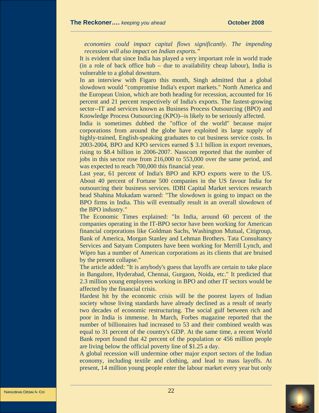*economies could impact capital flows significantly. The impending recession will also impact on Indian exports."* 

It is evident that since India has played a very important role in world trade (in a role of back office hub – due to availability cheap labour), India is vulnerable to a global downturn.

In an interview with Figaro this month, Singh admitted that a global slowdown would "compromise India's export markets." North America and the European Union, which are both heading for recession, accounted for 16 percent and 21 percent respectively of India's exports. The fastest-growing sector--IT and services known as Business Process Outsourcing (BPO) and Knowledge Process Outsourcing (KPO)--is likely to be seriously affected.

India is sometimes dubbed the "office of the world" because major corporations from around the globe have exploited its large supply of highly-trained, English-speaking graduates to cut business service costs. In 2003-2004, BPO and KPO services earned \$ 3.1 billion in export revenues, rising to \$8.4 billion in 2006-2007. Nasscom reported that the number of jobs in this sector rose from 216,000 to 553,000 over the same period, and was expected to reach 700,000 this financial year.

Last year, 61 percent of India's BPO and KPO exports were to the US. About 40 percent of Fortune 500 companies in the US favour India for outsourcing their business services. IDBI Capital Market services research head Shahina Mukadam warned: "The slowdown is going to impact on the BPO firms in India. This will eventually result in an overall slowdown of the BPO industry."

The Economic Times explained: "In India, around 60 percent of the companies operating in the IT-BPO sector have been working for American financial corporations like Goldman Sachs, Washington Mutual, Citigroup, Bank of America, Morgan Stanley and Lehman Brothers. Tata Consultancy Services and Satyam Computers have been working for Merrill Lynch, and Wipro has a number of American corporations as its clients that are bruised by the present collapse."

The article added: "It is anybody's guess that layoffs are certain to take place in Bangalore, Hyderabad, Chennai, Gurgaon, Noida, etc." It predicted that 2.3 million young employees working in BPO and other IT sectors would be affected by the financial crisis.

Hardest hit by the economic crisis will be the poorest layers of Indian society whose living standards have already declined as a result of nearly two decades of economic restructuring. The social gulf between rich and poor in India is immense. In March, Forbes magazine reported that the number of billionaires had increased to 53 and their combined wealth was equal to 31 percent of the country's GDP. At the same time, a recent World Bank report found that 42 percent of the population or 456 million people are living below the official poverty line of \$1.25 a day.

A global recession will undermine other major export sectors of the Indian economy, including textile and clothing, and lead to mass layoffs. At present, 14 million young people enter the labour market every year but only

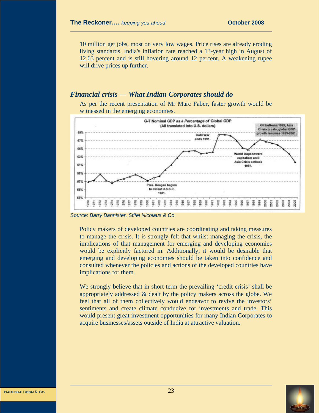10 million get jobs, most on very low wages. Price rises are already eroding living standards. India's inflation rate reached a 13-year high in August of 12.63 percent and is still hovering around 12 percent. A weakening rupee will drive prices up further.

#### *Financial crisis — What Indian Corporates should do*

As per the recent presentation of Mr Marc Faber, faster growth would be witnessed in the emerging economies.



*Source: Barry Bannister, Stifel Nicolaus & Co.*

Policy makers of developed countries are coordinating and taking measures to manage the crisis. It is strongly felt that whilst managing the crisis, the implications of that management for emerging and developing economies would be explicitly factored in. Additionally, it would be desirable that emerging and developing economies should be taken into confidence and consulted whenever the policies and actions of the developed countries have implications for them.

We strongly believe that in short term the prevailing 'credit crisis' shall be appropriately addressed & dealt by the policy makers across the globe. We feel that all of them collectively would endeavor to revive the investors' sentiments and create climate conducive for investments and trade. This would present great investment opportunities for many Indian Corporates to acquire businesses/assets outside of India at attractive valuation.



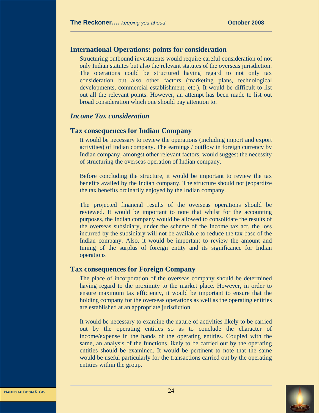# **International Operations: points for consideration**

Structuring outbound investments would require careful consideration of not only Indian statutes but also the relevant statutes of the overseas jurisdiction. The operations could be structured having regard to not only tax consideration but also other factors (marketing plans, technological developments, commercial establishment, etc.). It would be difficult to list out all the relevant points. However, an attempt has been made to list out broad consideration which one should pay attention to.

#### *Income Tax consideration*

#### **Tax consequences for Indian Company**

It would be necessary to review the operations (including import and export activities) of Indian company. The earnings / outflow in foreign currency by Indian company, amongst other relevant factors, would suggest the necessity of structuring the overseas operation of Indian company.

Before concluding the structure, it would be important to review the tax benefits availed by the Indian company. The structure should not jeopardize the tax benefits ordinarily enjoyed by the Indian company.

The projected financial results of the overseas operations should be reviewed. It would be important to note that whilst for the accounting purposes, the Indian company would be allowed to consolidate the results of the overseas subsidiary, under the scheme of the Income tax act, the loss incurred by the subsidiary will not be available to reduce the tax base of the Indian company. Also, it would be important to review the amount and timing of the surplus of foreign entity and its significance for Indian operations

#### **Tax consequences for Foreign Company**

The place of incorporation of the overseas company should be determined having regard to the proximity to the market place. However, in order to ensure maximum tax efficiency, it would be important to ensure that the holding company for the overseas operations as well as the operating entities are established at an appropriate jurisdiction.

It would be necessary to examine the nature of activities likely to be carried out by the operating entities so as to conclude the character of income/expense in the hands of the operating entities. Coupled with the same, an analysis of the functions likely to be carried out by the operating entities should be examined. It would be pertinent to note that the same would be useful particularly for the transactions carried out by the operating entities within the group.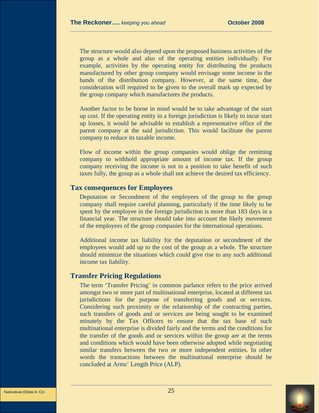The structure would also depend upon the proposed business activities of the group as a whole and also of the operating entities individually. For example, activities by the operating entity for distributing the products manufactured by other group company would envisage some income in the hands of the distribution company. However, at the same time, due consideration will required to be given to the overall mark up expected by the group company which manufactures the products.

Another factor to be borne in mind would be to take advantage of the start up cost. If the operating entity in a foreign jurisdiction is likely to incur start up losses, it would be advisable to establish a representative office of the parent company at the said jurisdiction. This would facilitate the parent company to reduce its taxable income.

Flow of income within the group companies would oblige the remitting company to withhold appropriate amount of income tax. If the group company receiving the income is not in a position to take benefit of such taxes fully, the group as a whole shall not achieve the desired tax efficiency.

#### **Tax consequences for Employees**

Deputation or Secondment of the employees of the group to the group company shall require careful planning, particularly if the time likely to be spent by the employee in the foreign jurisdiction is more than 183 days in a financial year. The structure should take into account the likely movement of the employees of the group companies for the international operations.

Additional income tax liability for the deputation or secondment of the employees would add up to the cost of the group as a whole. The structure should minimize the situations which could give rise to any such additional income tax liability.

## **Transfer Pricing Regulations**

The term 'Transfer Pricing' in common parlance refers to the price arrived amongst two or more part of multinational enterprise, located at different tax jurisdictions for the purpose of transferring goods and or services. Considering such proximity or the relationship of the contracting parties, such transfers of goods and or services are being sought to be examined minutely by the Tax Officers to ensure that the tax base of such multinational enterprise is divided fairly and the terms and the conditions for the transfer of the goods and or services within the group are at the terms and conditions which would have been otherwise adopted while negotiating similar transfers between the two or more independent entities. In other words the transactions between the multinational enterprise should be concluded at Arms' Length Price (ALP).

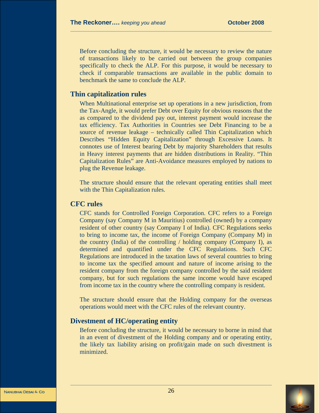Before concluding the structure, it would be necessary to review the nature of transactions likely to be carried out between the group companies specifically to check the ALP. For this purpose, it would be necessary to check if comparable transactions are available in the public domain to benchmark the same to conclude the ALP.

## **Thin capitalization rules**

When Multinational enterprise set up operations in a new jurisdiction, from the Tax-Angle, it would prefer Debt over Equity for obvious reasons that the as compared to the dividend pay out, interest payment would increase the tax efficiency. Tax Authorities in Countries see Debt Financing to be a source of revenue leakage – technically called Thin Capitalization which Describes "Hidden Equity Capitalization" through Excessive Loans. It connotes use of Interest bearing Debt by majority Shareholders that results in Heavy interest payments that are hidden distributions in Reality. "Thin Capitalization Rules" are Anti-Avoidance measures employed by nations to plug the Revenue leakage.

The structure should ensure that the relevant operating entities shall meet with the Thin Capitalization rules.

#### **CFC rules**

CFC stands for Controlled Foreign Corporation. CFC refers to a Foreign Company (say Company M in Mauritius) controlled (owned) by a company resident of other country (say Company I of India). CFC Regulations seeks to bring to income tax, the income of Foreign Company (Company M) in the country (India) of the controlling / holding company (Company I), as determined and quantified under the CFC Regulations. Such CFC Regulations are introduced in the taxation laws of several countries to bring to income tax the specified amount and nature of income arising to the resident company from the foreign company controlled by the said resident company, but for such regulations the same income would have escaped from income tax in the country where the controlling company is resident.

The structure should ensure that the Holding company for the overseas operations would meet with the CFC rules of the relevant country.

## **Divestment of HC/operating entity**

Before concluding the structure, it would be necessary to borne in mind that in an event of divestment of the Holding company and or operating entity, the likely tax liability arising on profit/gain made on such divestment is minimized.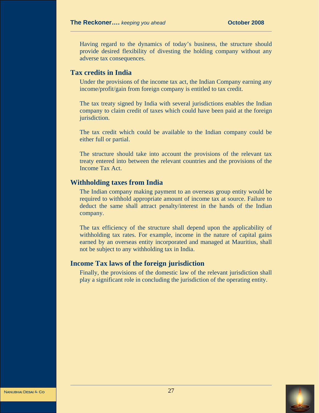Having regard to the dynamics of today's business, the structure should provide desired flexibility of divesting the holding company without any adverse tax consequences.

## **Tax credits in India**

Under the provisions of the income tax act, the Indian Company earning any income/profit/gain from foreign company is entitled to tax credit.

The tax treaty signed by India with several jurisdictions enables the Indian company to claim credit of taxes which could have been paid at the foreign jurisdiction.

The tax credit which could be available to the Indian company could be either full or partial.

The structure should take into account the provisions of the relevant tax treaty entered into between the relevant countries and the provisions of the Income Tax Act.

#### **Withholding taxes from India**

The Indian company making payment to an overseas group entity would be required to withhold appropriate amount of income tax at source. Failure to deduct the same shall attract penalty/interest in the hands of the Indian company.

The tax efficiency of the structure shall depend upon the applicability of withholding tax rates. For example, income in the nature of capital gains earned by an overseas entity incorporated and managed at Mauritius, shall not be subject to any withholding tax in India.

#### **Income Tax laws of the foreign jurisdiction**

Finally, the provisions of the domestic law of the relevant jurisdiction shall play a significant role in concluding the jurisdiction of the operating entity.



<sup>27</sup> Nanubhai Desai **&** Co Nanubhai Desai **&** Co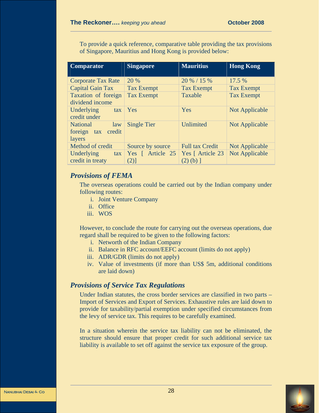To provide a quick reference, comparative table providing the tax provisions of Singapore, Mauritius and Hong Kong is provided below:

| <b>Comparator</b>         | <b>Singapore</b>   | <b>Mauritius</b>       | <b>Hong Kong</b>      |
|---------------------------|--------------------|------------------------|-----------------------|
|                           |                    |                        |                       |
| <b>Corporate Tax Rate</b> | 20 %               | 20 % / 15 %            | 17.5 %                |
| Capital Gain Tax          | <b>Tax Exempt</b>  | <b>Tax Exempt</b>      | <b>Tax Exempt</b>     |
| Taxation of foreign       | <b>Tax Exempt</b>  | Taxable                | <b>Tax Exempt</b>     |
| dividend income           |                    |                        |                       |
| Underlying<br>tax         | Yes                | Yes                    | <b>Not Applicable</b> |
| credit under              |                    |                        |                       |
| <b>National</b><br>law    | <b>Single Tier</b> | Unlimited              | Not Applicable        |
| credit<br>foreign tax     |                    |                        |                       |
| layers                    |                    |                        |                       |
| Method of credit          | Source by source   | <b>Full tax Credit</b> | <b>Not Applicable</b> |
| Underlying<br>tax         | Yes [ Article 25   | Yes [ Article 23       | Not Applicable        |
| credit in treaty          | (2)]               | $(2)$ (b) ]            |                       |

# *Provisions of FEMA*

The overseas operations could be carried out by the Indian company under following routes:

- i. Joint Venture Company
- ii. Office
- iii. WOS

However, to conclude the route for carrying out the overseas operations, due regard shall be required to be given to the following factors:

- i. Networth of the Indian Company
- ii. Balance in RFC account/EEFC account (limits do not apply)
- iii. ADR/GDR (limits do not apply)
- iv. Value of investments (if more than US\$ 5m, additional conditions are laid down)

## *Provisions of Service Tax Regulations*

Under Indian statutes, the cross border services are classified in two parts – Import of Services and Export of Services. Exhaustive rules are laid down to provide for taxability/partial exemption under specified circumstances from the levy of service tax. This requires to be carefully examined.

In a situation wherein the service tax liability can not be eliminated, the structure should ensure that proper credit for such additional service tax liability is available to set off against the service tax exposure of the group.



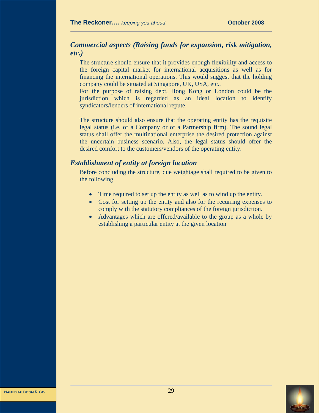# *Commercial aspects (Raising funds for expansion, risk mitigation, etc.)*

The structure should ensure that it provides enough flexibility and access to the foreign capital market for international acquisitions as well as for financing the international operations. This would suggest that the holding company could be situated at Singapore, UK, USA, etc..

For the purpose of raising debt, Hong Kong or London could be the jurisdiction which is regarded as an ideal location to identify syndicators/lenders of international repute.

The structure should also ensure that the operating entity has the requisite legal status (i.e. of a Company or of a Partnership firm). The sound legal status shall offer the multinational enterprise the desired protection against the uncertain business scenario. Also, the legal status should offer the desired comfort to the customers/vendors of the operating entity.

#### *Establishment of entity at foreign location*

Before concluding the structure, due weightage shall required to be given to the following

- Time required to set up the entity as well as to wind up the entity.
- Cost for setting up the entity and also for the recurring expenses to comply with the statutory compliances of the foreign jurisdiction.
- Advantages which are offered/available to the group as a whole by establishing a particular entity at the given location



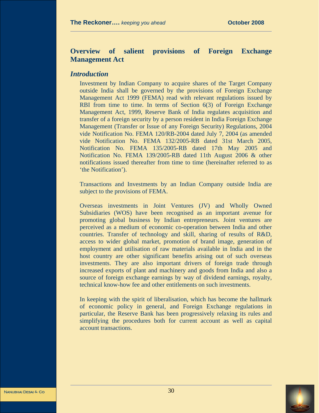# **Overview of salient provisions of Foreign Exchange Management Act**

#### *Introduction*

Investment by Indian Company to acquire shares of the Target Company outside India shall be governed by the provisions of Foreign Exchange Management Act 1999 (FEMA) read with relevant regulations issued by RBI from time to time. In terms of Section 6(3) of Foreign Exchange Management Act, 1999, Reserve Bank of India regulates acquisition and transfer of a foreign security by a person resident in India Foreign Exchange Management (Transfer or Issue of any Foreign Security) Regulations, 2004 vide Notification No. FEMA 120/RB-2004 dated July 7, 2004 (as amended vide Notification No. FEMA 132/2005-RB dated 31st March 2005, Notification No. FEMA 135/2005-RB dated 17th May 2005 and Notification No. FEMA 139/2005-RB dated 11th August 2006 & other notifications issued thereafter from time to time (hereinafter referred to as 'the Notification').

Transactions and Investments by an Indian Company outside India are subject to the provisions of FEMA.

Overseas investments in Joint Ventures (JV) and Wholly Owned Subsidiaries (WOS) have been recognised as an important avenue for promoting global business by Indian entrepreneurs. Joint ventures are perceived as a medium of economic co-operation between India and other countries. Transfer of technology and skill, sharing of results of R&D, access to wider global market, promotion of brand image, generation of employment and utilisation of raw materials available in India and in the host country are other significant benefits arising out of such overseas investments. They are also important drivers of foreign trade through increased exports of plant and machinery and goods from India and also a source of foreign exchange earnings by way of dividend earnings, royalty, technical know-how fee and other entitlements on such investments.

In keeping with the spirit of liberalisation, which has become the hallmark of economic policy in general, and Foreign Exchange regulations in particular, the Reserve Bank has been progressively relaxing its rules and simplifying the procedures both for current account as well as capital account transactions.

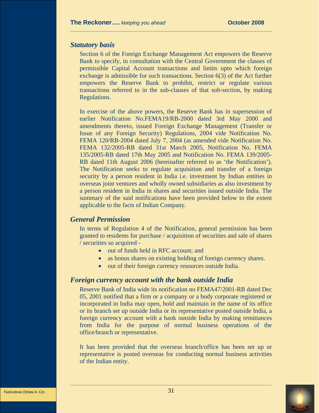#### *Statutory basis*

Section 6 of the Foreign Exchange Management Act empowers the Reserve Bank to specify, in consultation with the Central Government the classes of permissible Capital Account transactions and limits upto which foreign exchange is admissible for such transactions. Section 6(3) of the Act further empowers the Reserve Bank to prohibit, restrict or regulate various transactions referred to in the sub-clauses of that sub-section, by making Regulations.

In exercise of the above powers, the Reserve Bank has in supersession of earlier Notification No.FEMA19/RB-2000 dated 3rd May 2000 and amendments thereto, issued Foreign Exchange Management (Transfer or Issue of any Foreign Security) Regulations, 2004 vide Notification No. FEMA 120/RB-2004 dated July 7, 2004 (as amended vide Notification No. FEMA 132/2005-RB dated 31st March 2005, Notification No. FEMA 135/2005-RB dated 17th May 2005 and Notification No. FEMA 139/2005- RB dated 11th August 2006 (hereinafter referred to as 'the Notification'). The Notification seeks to regulate acquisition and transfer of a foreign security by a person resident in India i.e. investment by Indian entities in overseas joint ventures and wholly owned subsidiaries as also investment by a person resident in India in shares and securities issued outside India. The summary of the said notifications have been provided below to the extent applicable to the facts of Indian Company.

#### *General Permission*

In terms of Regulation 4 of the Notification, general permission has been granted to residents for purchase / acquisition of securities and sale of shares / securities so acquired -

- out of funds held in RFC account; and
- as bonus shares on existing holding of foreign currency shares.
- out of their foreign currency resources outside India.

#### *Foreign currency account with the bank outside India*

Reserve Bank of India wide its notification no FEMA47/2001-RB dated Dec 05, 2001 notified that a firm or a company or a body corporate registered or incorporated in India may open, hold and maintain in the name of its office or its branch set up outside India or its representative posted outside India, a foreign currency account with a bank outside India by making remittances from India for the purpose of normal business operations of the office/branch or representative.

It has been provided that the overseas branch/office has been set up or representative is posted overseas for conducting normal business activities of the Indian entity.

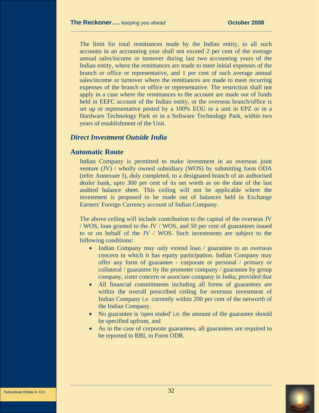The limit for total remittances made by the Indian entity, to all such accounts in an accounting year shall not exceed 2 per cent of the average annual sales/income or turnover during last two accounting years of the Indian entity, where the remittances are made to meet initial expenses of the branch or office or representative, and 1 per cent of such average annual sales/income or turnover where the remittances are made to meet recurring expenses of the branch or office or representative. The restriction shall not apply in a case where the remittances to the account are made out of funds held in EEFC account of the Indian entity, or the overseas branch/office is set up or representative posted by a 100% EOU or a unit in EPZ or in a Hardware Technology Park or in a Software Technology Park, within two years of establishment of the Unit.

#### *Direct Investment Outside India*

#### **Automatic Route**

Indian Company is permitted to make investment in an overseas joint venture (JV) / wholly owned subsidiary (WOS) by submitting form ODA (refer Annexure I), duly completed, to a designated branch of an authorised dealer bank, upto 300 per cent of its net worth as on the date of the last audited balance sheet. This ceiling will not be applicable where the investment is proposed to be made out of balances held in Exchange Earners' Foreign Currency account of Indian Company.

The above ceiling will include contribution to the capital of the overseas JV / WOS, loan granted to the JV / WOS, and 50 per cent of guarantees issued to or on behalf of the JV / WOS. Such investments are subject to the following conditions:

- Indian Company may only extend loan / guarantee to an overseas concern in which it has equity participation. Indian Company may offer any form of guarantee - corporate or personal / primary or collateral / guarantee by the promoter company / guarantee by group company, sister concern or associate company in India; provided that
- All financial commitments including all forms of guarantees are within the overall prescribed ceiling for overseas investment of Indian Company i.e. currently within 200 per cent of the networth of the Indian Company.
- No guarantee is 'open ended' i.e. the amount of the guarantee should be specified upfront, and
- As in the case of corporate guarantees, all guarantees are required to be reported to RBI, in Form ODR.

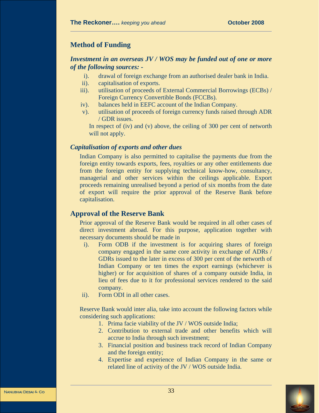# **Method of Funding**

#### *Investment in an overseas JV / WOS may be funded out of one or more of the following sources: -*

- i). drawal of foreign exchange from an authorised dealer bank in India.
- ii). capitalisation of exports.
- iii). utilisation of proceeds of External Commercial Borrowings (ECBs) / Foreign Currency Convertible Bonds (FCCBs).
- iv). balances held in EEFC account of the Indian Company.
- v). utilisation of proceeds of foreign currency funds raised through ADR / GDR issues.

In respect of (iv) and (v) above, the ceiling of 300 per cent of networth will not apply.

#### *Capitalisation of exports and other dues*

Indian Company is also permitted to capitalise the payments due from the foreign entity towards exports, fees, royalties or any other entitlements due from the foreign entity for supplying technical know-how, consultancy, managerial and other services within the ceilings applicable. Export proceeds remaining unrealised beyond a period of six months from the date of export will require the prior approval of the Reserve Bank before capitalisation.

## **Approval of the Reserve Bank**

Prior approval of the Reserve Bank would be required in all other cases of direct investment abroad. For this purpose, application together with necessary documents should be made in

- i). Form ODB if the investment is for acquiring shares of foreign company engaged in the same core activity in exchange of ADRs / GDRs issued to the later in excess of 300 per cent of the networth of Indian Company or ten times the export earnings (whichever is higher) or for acquisition of shares of a company outside India, in lieu of fees due to it for professional services rendered to the said company.
- ii). Form ODI in all other cases.

Reserve Bank would inter alia, take into account the following factors while considering such applications:

- 1. Prima facie viability of the JV / WOS outside India;
- 2. Contribution to external trade and other benefits which will accrue to India through such investment;
- 3. Financial position and business track record of Indian Company and the foreign entity;
- 4. Expertise and experience of Indian Company in the same or related line of activity of the JV / WOS outside India.

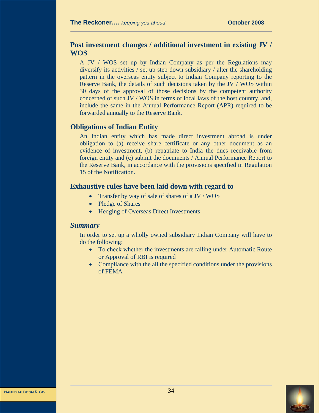# **Post investment changes / additional investment in existing JV / WOS**

A JV / WOS set up by Indian Company as per the Regulations may diversify its activities / set up step down subsidiary / alter the shareholding pattern in the overseas entity subject to Indian Company reporting to the Reserve Bank, the details of such decisions taken by the JV / WOS within 30 days of the approval of those decisions by the competent authority concerned of such JV / WOS in terms of local laws of the host country, and, include the same in the Annual Performance Report (APR) required to be forwarded annually to the Reserve Bank.

# **Obligations of Indian Entity**

An Indian entity which has made direct investment abroad is under obligation to (a) receive share certificate or any other document as an evidence of investment, (b) repatriate to India the dues receivable from foreign entity and (c) submit the documents / Annual Performance Report to the Reserve Bank, in accordance with the provisions specified in Regulation 15 of the Notification.

#### **Exhaustive rules have been laid down with regard to**

- Transfer by way of sale of shares of a JV / WOS
- Pledge of Shares
- Hedging of Overseas Direct Investments

#### *Summary*

In order to set up a wholly owned subsidiary Indian Company will have to do the following:

- To check whether the investments are falling under Automatic Route or Approval of RBI is required
- Compliance with the all the specified conditions under the provisions of FEMA

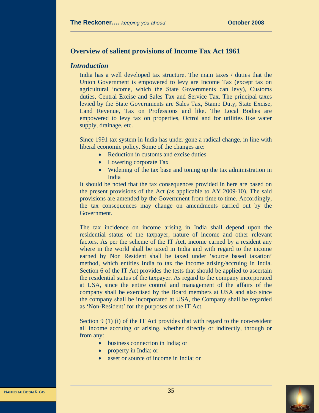# **Overview of salient provisions of Income Tax Act 1961**

#### *Introduction*

India has a well developed tax structure. The main taxes / duties that the Union Government is empowered to levy are Income Tax (except tax on agricultural income, which the State Governments can levy), Customs duties, Central Excise and Sales Tax and Service Tax. The principal taxes levied by the State Governments are Sales Tax, Stamp Duty, State Excise, Land Revenue, Tax on Professions and like. The Local Bodies are empowered to levy tax on properties, Octroi and for utilities like water supply, drainage, etc.

Since 1991 tax system in India has under gone a radical change, in line with liberal economic policy. Some of the changes are:

- Reduction in customs and excise duties
- Lowering corporate Tax
- Widening of the tax base and toning up the tax administration in India

It should be noted that the tax consequences provided in here are based on the present provisions of the Act (as applicable to AY 2009-10). The said provisions are amended by the Government from time to time. Accordingly, the tax consequences may change on amendments carried out by the Government.

The tax incidence on income arising in India shall depend upon the residential status of the taxpayer, nature of income and other relevant factors. As per the scheme of the IT Act, income earned by a resident any where in the world shall be taxed in India and with regard to the income earned by Non Resident shall be taxed under 'source based taxation' method, which entitles India to tax the income arising/accruing in India. Section 6 of the IT Act provides the tests that should be applied to ascertain the residential status of the taxpayer. As regard to the company incorporated at USA, since the entire control and management of the affairs of the company shall be exercised by the Board members at USA and also since the company shall be incorporated at USA, the Company shall be regarded as 'Non-Resident' for the purposes of the IT Act.

Section 9 (1) (i) of the IT Act provides that with regard to the non-resident all income accruing or arising, whether directly or indirectly, through or from any:

- business connection in India; or
- property in India; or
- asset or source of income in India; or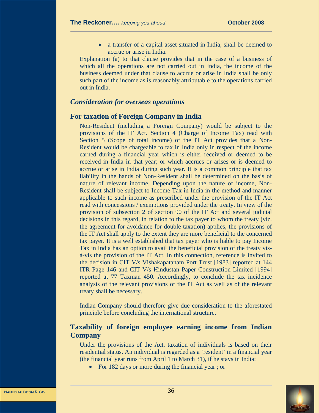• a transfer of a capital asset situated in India, shall be deemed to accrue or arise in India.

Explanation (a) to that clause provides that in the case of a business of which all the operations are not carried out in India, the income of the business deemed under that clause to accrue or arise in India shall be only such part of the income as is reasonably attributable to the operations carried out in India.

#### *Consideration for overseas operations*

#### **For taxation of Foreign Company in India**

Non-Resident (including a Foreign Company) would be subject to the provisions of the IT Act. Section 4 (Charge of Income Tax) read with Section 5 (Scope of total income) of the IT Act provides that a Non-Resident would be chargeable to tax in India only in respect of the income earned during a financial year which is either received or deemed to be received in India in that year; or which accrues or arises or is deemed to accrue or arise in India during such year. It is a common principle that tax liability in the hands of Non-Resident shall be determined on the basis of nature of relevant income. Depending upon the nature of income, Non-Resident shall be subject to Income Tax in India in the method and manner applicable to such income as prescribed under the provision of the IT Act read with concessions / exemptions provided under the treaty. In view of the provision of subsection 2 of section 90 of the IT Act and several judicial decisions in this regard, in relation to the tax payer to whom the treaty (viz. the agreement for avoidance for double taxation) applies, the provisions of the IT Act shall apply to the extent they are more beneficial to the concerned tax payer. It is a well established that tax payer who is liable to pay Income Tax in India has an option to avail the beneficial provision of the treaty visà-vis the provision of the IT Act. In this connection, reference is invited to the decision in CIT V/s Vishakapatanam Port Trust [1983] reported at 144 ITR Page 146 and CIT V/s Hindustan Paper Construction Limited [1994] reported at 77 Taxman 450. Accordingly, to conclude the tax incidence analysis of the relevant provisions of the IT Act as well as of the relevant treaty shall be necessary.

Indian Company should therefore give due consideration to the aforestated principle before concluding the international structure.

# **Taxability of foreign employee earning income from Indian Company**

Under the provisions of the Act, taxation of individuals is based on their residential status. An individual is regarded as a 'resident' in a financial year (the financial year runs from April 1 to March 31), if he stays in India:

• For 182 days or more during the financial year; or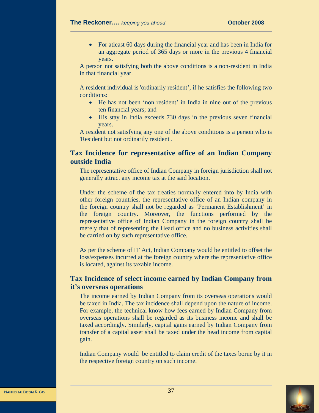• For atleast 60 days during the financial year and has been in India for an aggregate period of 365 days or more in the previous 4 financial years.

A person not satisfying both the above conditions is a non-resident in India in that financial year.

A resident individual is 'ordinarily resident', if he satisfies the following two conditions:

- He has not been 'non resident' in India in nine out of the previous ten financial years; and
- His stay in India exceeds 730 days in the previous seven financial years.

A resident not satisfying any one of the above conditions is a person who is 'Resident but not ordinarily resident'.

## **Tax Incidence for representative office of an Indian Company outside India**

The representative office of Indian Company in foreign jurisdiction shall not generally attract any income tax at the said location.

Under the scheme of the tax treaties normally entered into by India with other foreign countries, the representative office of an Indian company in the foreign country shall not be regarded as 'Permanent Establishment' in the foreign country. Moreover, the functions performed by the representative office of Indian Company in the foreign country shall be merely that of representing the Head office and no business activities shall be carried on by such representative office.

As per the scheme of IT Act, Indian Company would be entitled to offset the loss/expenses incurred at the foreign country where the representative office is located, against its taxable income.

# **Tax Incidence of select income earned by Indian Company from it's overseas operations**

The income earned by Indian Company from its overseas operations would be taxed in India. The tax incidence shall depend upon the nature of income. For example, the technical know how fees earned by Indian Company from overseas operations shall be regarded as its business income and shall be taxed accordingly. Similarly, capital gains earned by Indian Company from transfer of a capital asset shall be taxed under the head income from capital gain.

Indian Company would be entitled to claim credit of the taxes borne by it in the respective foreign country on such income.

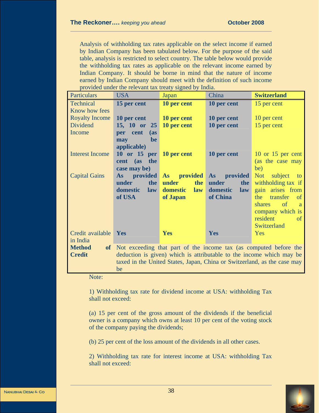Analysis of withholding tax rates applicable on the select income if earned by Indian Company has been tabulated below. For the purpose of the said table, analysis is restricted to select country. The table below would provide the withholding tax rates as applicable on the relevant income earned by Indian Company. It should be borne in mind that the nature of income earned by Indian Company should meet with the definition of such income provided under the relevant tax treaty signed by India.

| Particulars            | <b>USA</b>                                                               | Japan           | China           | <b>Switzerland</b>                               |
|------------------------|--------------------------------------------------------------------------|-----------------|-----------------|--------------------------------------------------|
| Technical              | 15 per cent                                                              | 10 per cent     | 10 per cent     | 15 per cent                                      |
| Know how fees          |                                                                          |                 |                 |                                                  |
| <b>Royalty Income</b>  | 10 per cent                                                              | 10 per cent     | 10 per cent     | 10 per cent                                      |
| <b>Dividend</b>        | 15, 10 or 25                                                             | 10 per cent     | 10 per cent     | 15 per cent                                      |
| Income                 | per cent<br>$\mathbf{a}$ s                                               |                 |                 |                                                  |
|                        | may<br>be                                                                |                 |                 |                                                  |
|                        | applicable)                                                              |                 |                 |                                                  |
| <b>Interest Income</b> | $10$ or $15$ per                                                         | 10 per cent     | 10 per cent     | 10 or $15$ per cent                              |
|                        | the<br>cent (as                                                          |                 |                 | (as the case may                                 |
|                        | case may be)                                                             |                 |                 | be)                                              |
| <b>Capital Gains</b>   | <b>provided</b><br>As                                                    | As provided     | As provided     | Not<br>subject<br>to                             |
|                        | the<br>under                                                             | the<br>under    | under<br>the    | withholding tax if                               |
|                        | domestic<br>law                                                          | domestic<br>law | domestic<br>law | gain arises from                                 |
|                        | of USA                                                                   | of Japan        | of China        | the<br>transfer<br>of<br><sub>of</sub><br>shares |
|                        |                                                                          |                 |                 | a.                                               |
|                        |                                                                          |                 |                 | company which is<br>resident<br><sub>of</sub>    |
|                        |                                                                          |                 |                 | Switzerland                                      |
| Credit available       | Yes                                                                      | Yes             | Yes             | Yes                                              |
| in India               |                                                                          |                 |                 |                                                  |
| <b>Method</b>          | of Not exceeding that part of the income tax (as computed before the     |                 |                 |                                                  |
| <b>Credit</b>          | deduction is given) which is attributable to the income which may be     |                 |                 |                                                  |
|                        | taxed in the United States, Japan, China or Switzerland, as the case may |                 |                 |                                                  |
|                        | be                                                                       |                 |                 |                                                  |

Note:

1) Withholding tax rate for dividend income at USA: withholding Tax shall not exceed:

(a) 15 per cent of the gross amount of the dividends if the beneficial owner is a company which owns at least 10 per cent of the voting stock of the company paying the dividends;

(b) 25 per cent of the loss amount of the dividends in all other cases.

2) Withholding tax rate for interest income at USA: withholding Tax shall not exceed:

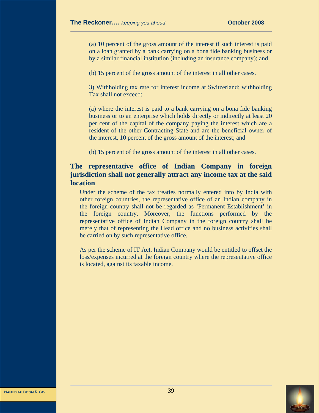(a) 10 percent of the gross amount of the interest if such interest is paid on a loan granted by a bank carrying on a bona fide banking business or by a similar financial institution (including an insurance company); and

(b) 15 percent of the gross amount of the interest in all other cases.

3) Withholding tax rate for interest income at Switzerland: withholding Tax shall not exceed:

(a) where the interest is paid to a bank carrying on a bona fide banking business or to an enterprise which holds directly or indirectly at least 20 per cent of the capital of the company paying the interest which are a resident of the other Contracting State and are the beneficial owner of the interest, 10 percent of the gross amount of the interest; and

(b) 15 percent of the gross amount of the interest in all other cases.

# **The representative office of Indian Company in foreign jurisdiction shall not generally attract any income tax at the said location**

Under the scheme of the tax treaties normally entered into by India with other foreign countries, the representative office of an Indian company in the foreign country shall not be regarded as 'Permanent Establishment' in the foreign country. Moreover, the functions performed by the representative office of Indian Company in the foreign country shall be merely that of representing the Head office and no business activities shall be carried on by such representative office.

As per the scheme of IT Act, Indian Company would be entitled to offset the loss/expenses incurred at the foreign country where the representative office is located, against its taxable income.

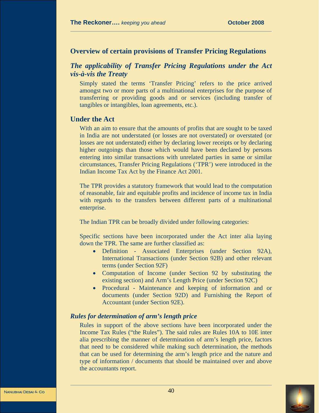#### **Overview of certain provisions of Transfer Pricing Regulations**

# *The applicability of Transfer Pricing Regulations under the Act vis-à-vis the Treaty*

Simply stated the terms 'Transfer Pricing' refers to the price arrived amongst two or more parts of a multinational enterprises for the purpose of transferring or providing goods and or services (including transfer of tangibles or intangibles, loan agreements, etc.).

## **Under the Act**

With an aim to ensure that the amounts of profits that are sought to be taxed in India are not understated (or losses are not overstated) or overstated (or losses are not understated) either by declaring lower receipts or by declaring higher outgoings than those which would have been declared by persons entering into similar transactions with unrelated parties in same or similar circumstances, Transfer Pricing Regulations ('TPR') were introduced in the Indian Income Tax Act by the Finance Act 2001.

The TPR provides a statutory framework that would lead to the computation of reasonable, fair and equitable profits and incidence of income tax in India with regards to the transfers between different parts of a multinational enterprise.

The Indian TPR can be broadly divided under following categories:

Specific sections have been incorporated under the Act inter alia laying down the TPR. The same are further classified as:

- Definition Associated Enterprises (under Section 92A), International Transactions (under Section 92B) and other relevant terms (under Section 92F)
- Computation of Income (under Section 92 by substituting the existing section) and Arm's Length Price (under Section 92C)
- Procedural Maintenance and keeping of information and or documents (under Section 92D) and Furnishing the Report of Accountant (under Section 92E).

## *Rules for determination of arm's length price*

Rules in support of the above sections have been incorporated under the Income Tax Rules ("the Rules"). The said rules are Rules 10A to 10E inter alia prescribing the manner of determination of arm's length price, factors that need to be considered while making such determination, the methods that can be used for determining the arm's length price and the nature and type of information / documents that should be maintained over and above the accountants report.

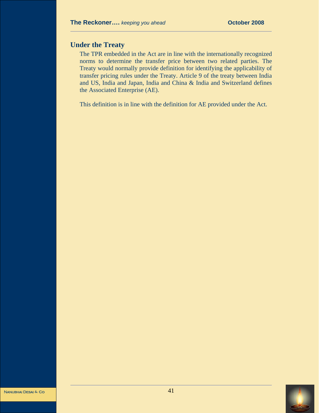# **Under the Treaty**

The TPR embedded in the Act are in line with the internationally recognized norms to determine the transfer price between two related parties. The Treaty would normally provide definition for identifying the applicability of transfer pricing rules under the Treaty. Article 9 of the treaty between India and US, India and Japan, India and China & India and Switzerland defines the Associated Enterprise (AE).

This definition is in line with the definition for AE provided under the Act.

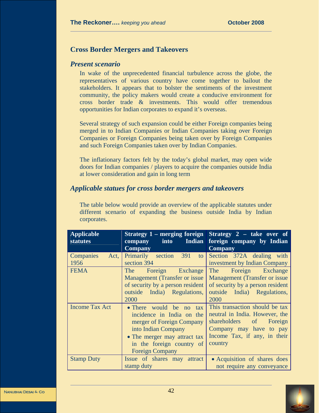# **Cross Border Mergers and Takeovers**

#### *Present scenario*

In wake of the unprecedented financial turbulence across the globe, the representatives of various country have come together to bailout the stakeholders. It appears that to bolster the sentiments of the investment community, the policy makers would create a conducive environment for cross border trade & investments. This would offer tremendous opportunities for Indian corporates to expand it's overseas.

Several strategy of such expansion could be either Foreign companies being merged in to Indian Companies or Indian Companies taking over Foreign Companies or Foreign Companies being taken over by Foreign Companies and such Foreign Companies taken over by Indian Companies.

The inflationary factors felt by the today's global market, may open wide doors for Indian companies / players to acquire the companies outside India at lower consideration and gain in long term

## *Applicable statues for cross border mergers and takeovers*

The table below would provide an overview of the applicable statutes under different scenario of expanding the business outside India by Indian corporates.

| <b>Applicable</b><br><b>statutes</b> | Indian<br><b>into</b><br>company<br><b>Company</b>                                                                                                                                              | Strategy $1$ – merging foreign Strategy 2 – take over of<br>foreign company by Indian<br><b>Company</b>                                                              |
|--------------------------------------|-------------------------------------------------------------------------------------------------------------------------------------------------------------------------------------------------|----------------------------------------------------------------------------------------------------------------------------------------------------------------------|
| Act,<br><b>Companies</b><br>1956     | Primarily section 391<br>to<br>section 394                                                                                                                                                      | Section 372A dealing with<br>investment by Indian Company                                                                                                            |
| <b>FEMA</b>                          | The Foreign Exchange<br>Management (Transfer or issue)<br>of security by a person resident<br>outside India) Regulations,<br>2000                                                               | Foreign Exchange<br>The<br><b>Management (Transfer or issue</b><br>of security by a person resident<br>outside India) Regulations,<br>2000                           |
| <b>Income Tax Act</b>                | • There would be no tax<br>incidence in India on the<br>merger of Foreign Company<br>into Indian Company<br>• The merger may attract tax<br>in the foreign country of<br><b>Foreign Company</b> | This transaction should be tax<br>neutral in India. However, the<br>shareholders of<br>Foreign<br>Company may have to pay<br>Income Tax, if any, in their<br>country |
| <b>Stamp Duty</b>                    | Issue of shares may attract<br>stamp duty                                                                                                                                                       | • Acquisition of shares does<br>not require any conveyance                                                                                                           |

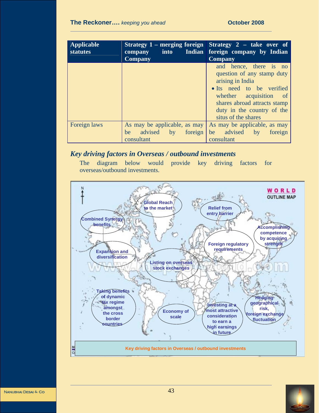| <b>Applicable</b><br><b>statutes</b> | <b>into</b><br>company<br><b>Company</b>                               | Strategy 1 – merging foreign Strategy 2 – take over of<br>Indian foreign company by Indian<br><b>Company</b>                                                                                                         |
|--------------------------------------|------------------------------------------------------------------------|----------------------------------------------------------------------------------------------------------------------------------------------------------------------------------------------------------------------|
|                                      |                                                                        | and hence, there is no<br>question of any stamp duty<br>arising in India<br>• Its need to be verified<br>whether acquisition of<br>shares abroad attracts stamp<br>duty in the country of the<br>situs of the shares |
| Foreign laws                         | As may be applicable, as may<br>be advised<br>by foreign<br>consultant | As may be applicable, as may<br>be advised by<br>foreign<br>consultant                                                                                                                                               |

# *Key driving factors in Overseas / outbound investments*

The diagram below would provide key driving factors for overseas/outbound investments.



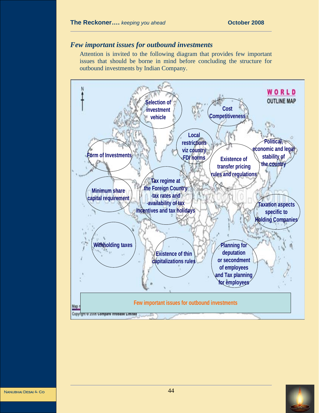## *Few important issues for outbound investments*

Attention is invited to the following diagram that provides few important issues that should be borne in mind before concluding the structure for outbound investments by Indian Company.